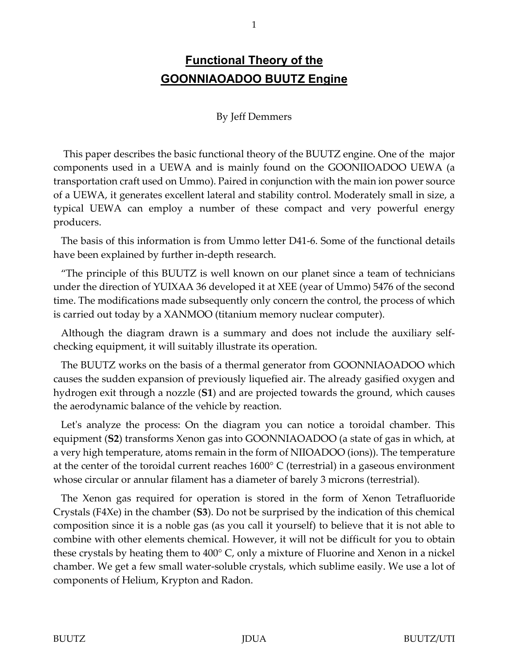## **Functional Theory of the GOONNIAOADOO BUUTZ Engine**

## By Jeff Demmers

 This paper describes the basic functional theory of the BUUTZ engine. One of the major components used in a UEWA and is mainly found on the GOONIIOADOO UEWA (a transportation craft used on Ummo). Paired in conjunction with the main ion power source of a UEWA, it generates excellent lateral and stability control. Moderately small in size, a typical UEWA can employ a number of these compact and very powerful energy producers.

 The basis of this information is from Ummo letter D41-6. Some of the functional details have been explained by further in-depth research.

 "The principle of this BUUTZ is well known on our planet since a team of technicians under the direction of YUIXAA 36 developed it at XEE (year of Ummo) 5476 of the second time. The modifications made subsequently only concern the control, the process of which is carried out today by a XANMOO (titanium memory nuclear computer).

 Although the diagram drawn is a summary and does not include the auxiliary selfchecking equipment, it will suitably illustrate its operation.

 The BUUTZ works on the basis of a thermal generator from GOONNIAOADOO which causes the sudden expansion of previously liquefied air. The already gasified oxygen and hydrogen exit through a nozzle (**S1**) and are projected towards the ground, which causes the aerodynamic balance of the vehicle by reaction.

 Let's analyze the process: On the diagram you can notice a toroidal chamber. This equipment (**S2**) transforms Xenon gas into GOONNIAOADOO (a state of gas in which, at a very high temperature, atoms remain in the form of NIIOADOO (ions)). The temperature at the center of the toroidal current reaches 1600° C (terrestrial) in a gaseous environment whose circular or annular filament has a diameter of barely 3 microns (terrestrial).

 The Xenon gas required for operation is stored in the form of Xenon Tetrafluoride Crystals (F4Xe) in the chamber (**S3**). Do not be surprised by the indication of this chemical composition since it is a noble gas (as you call it yourself) to believe that it is not able to combine with other elements chemical. However, it will not be difficult for you to obtain these crystals by heating them to 400° C, only a mixture of Fluorine and Xenon in a nickel chamber. We get a few small water-soluble crystals, which sublime easily. We use a lot of components of Helium, Krypton and Radon.